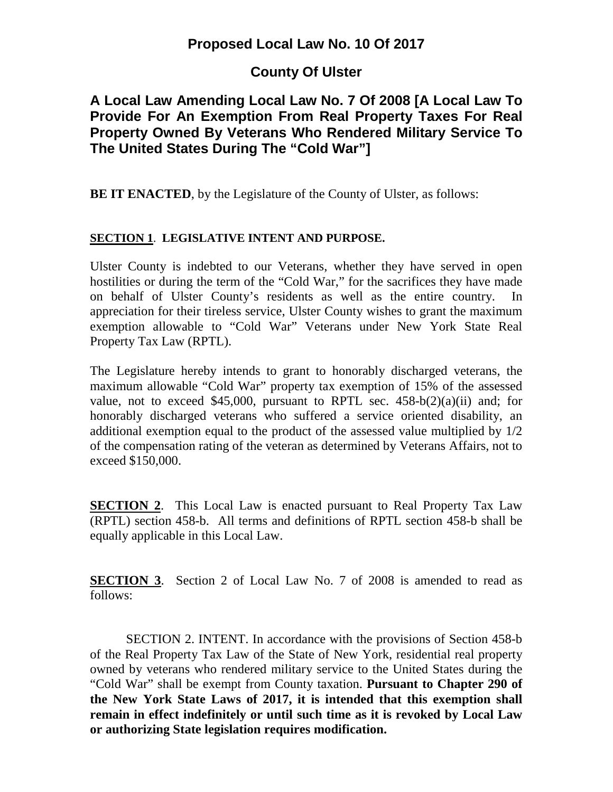## **Proposed Local Law No. 10 Of 2017**

## **County Of Ulster**

# **A Local Law Amending Local Law No. 7 Of 2008 [A Local Law To Provide For An Exemption From Real Property Taxes For Real Property Owned By Veterans Who Rendered Military Service To The United States During The "Cold War"]**

**BE IT ENACTED**, by the Legislature of the County of Ulster, as follows:

#### **SECTION 1**. **LEGISLATIVE INTENT AND PURPOSE.**

Ulster County is indebted to our Veterans, whether they have served in open hostilities or during the term of the "Cold War," for the sacrifices they have made on behalf of Ulster County's residents as well as the entire country. In appreciation for their tireless service, Ulster County wishes to grant the maximum exemption allowable to "Cold War" Veterans under New York State Real Property Tax Law (RPTL).

The Legislature hereby intends to grant to honorably discharged veterans, the maximum allowable "Cold War" property tax exemption of 15% of the assessed value, not to exceed \$45,000, pursuant to RPTL sec.  $458-b(2)(a)(ii)$  and; for honorably discharged veterans who suffered a service oriented disability, an additional exemption equal to the product of the assessed value multiplied by 1/2 of the compensation rating of the veteran as determined by Veterans Affairs, not to exceed \$150,000.

**SECTION 2.** This Local Law is enacted pursuant to Real Property Tax Law (RPTL) section 458-b. All terms and definitions of RPTL section 458-b shall be equally applicable in this Local Law.

**SECTION 3**. Section 2 of Local Law No. 7 of 2008 is amended to read as follows:

SECTION 2. INTENT. In accordance with the provisions of Section 458-b of the Real Property Tax Law of the State of New York, residential real property owned by veterans who rendered military service to the United States during the "Cold War" shall be exempt from County taxation. **Pursuant to Chapter 290 of the New York State Laws of 2017, it is intended that this exemption shall remain in effect indefinitely or until such time as it is revoked by Local Law or authorizing State legislation requires modification.**